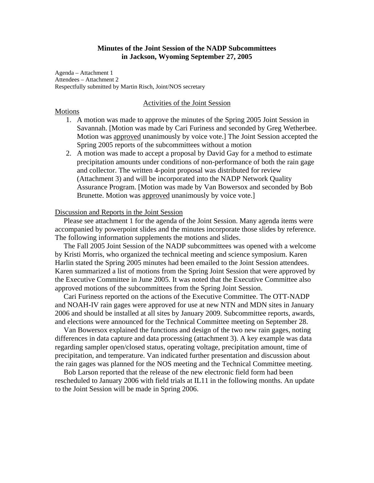# **Minutes of the Joint Session of the NADP Subcommittees in Jackson, Wyoming September 27, 2005**

Agenda – Attachment 1 Attendees – Attachment 2 Respectfully submitted by Martin Risch, Joint/NOS secretary

#### Activities of the Joint Session

# Motions

- 1. A motion was made to approve the minutes of the Spring 2005 Joint Session in Savannah. [Motion was made by Cari Furiness and seconded by Greg Wetherbee. Motion was approved unanimously by voice vote.] The Joint Session accepted the Spring 2005 reports of the subcommittees without a motion
- 2. A motion was made to accept a proposal by David Gay for a method to estimate precipitation amounts under conditions of non-performance of both the rain gage and collector. The written 4-point proposal was distributed for review (Attachment 3) and will be incorporated into the NADP Network Quality Assurance Program. [Motion was made by Van Bowersox and seconded by Bob Brunette. Motion was approved unanimously by voice vote.]

### Discussion and Reports in the Joint Session

Please see attachment 1 for the agenda of the Joint Session. Many agenda items were accompanied by powerpoint slides and the minutes incorporate those slides by reference. The following information supplements the motions and slides.

The Fall 2005 Joint Session of the NADP subcommittees was opened with a welcome by Kristi Morris, who organized the technical meeting and science symposium. Karen Harlin stated the Spring 2005 minutes had been emailed to the Joint Session attendees. Karen summarized a list of motions from the Spring Joint Session that were approved by the Executive Committee in June 2005. It was noted that the Executive Committee also approved motions of the subcommittees from the Spring Joint Session.

Cari Furiness reported on the actions of the Executive Committee. The OTT-NADP and NOAH-IV rain gages were approved for use at new NTN and MDN sites in January 2006 and should be installed at all sites by January 2009. Subcommittee reports, awards, and elections were announced for the Technical Committee meeting on September 28.

Van Bowersox explained the functions and design of the two new rain gages, noting differences in data capture and data processing (attachment 3). A key example was data regarding sampler open/closed status, operating voltage, precipitation amount, time of precipitation, and temperature. Van indicated further presentation and discussion about the rain gages was planned for the NOS meeting and the Technical Committee meeting.

Bob Larson reported that the release of the new electronic field form had been rescheduled to January 2006 with field trials at IL11 in the following months. An update to the Joint Session will be made in Spring 2006.